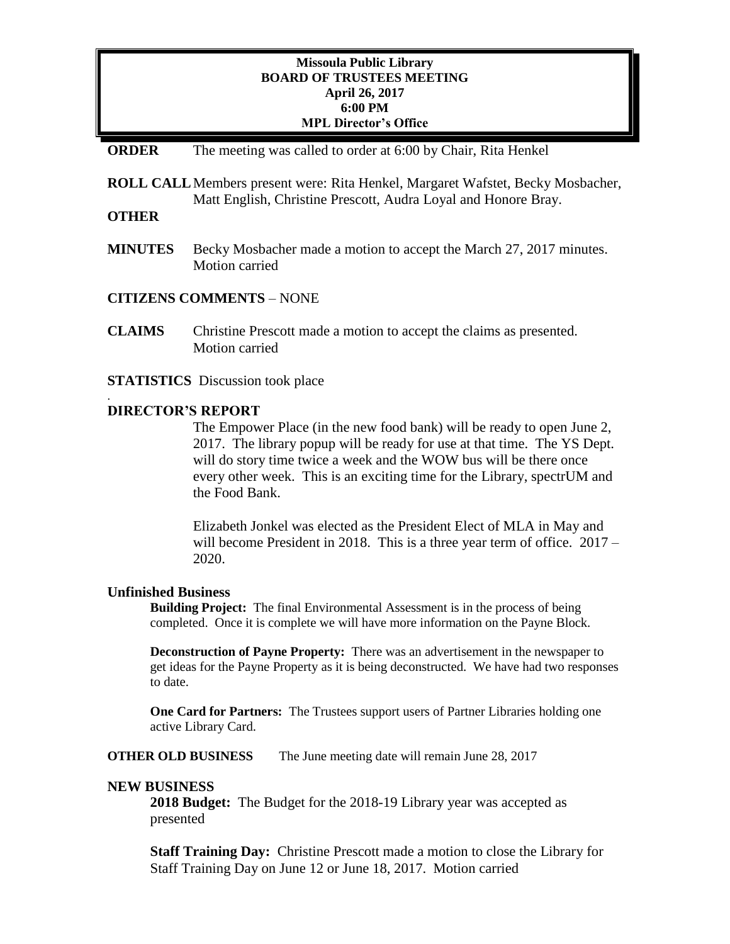### **Missoula Public Library BOARD OF TRUSTEES MEETING April 26, 2017 6:00 PM MPL Director's Office**

#### **ORDER** The meeting was called to order at 6:00 by Chair, Rita Henkel

**ROLL CALL**Members present were: Rita Henkel, Margaret Wafstet, Becky Mosbacher, Matt English, Christine Prescott, Audra Loyal and Honore Bray.

### **OTHER**

.

**MINUTES** Becky Mosbacher made a motion to accept the March 27, 2017 minutes. Motion carried

### **CITIZENS COMMENTS** – NONE

- **CLAIMS** Christine Prescott made a motion to accept the claims as presented. Motion carried
- **STATISTICS** Discussion took place

#### **DIRECTOR'S REPORT**

The Empower Place (in the new food bank) will be ready to open June 2, 2017. The library popup will be ready for use at that time. The YS Dept. will do story time twice a week and the WOW bus will be there once every other week. This is an exciting time for the Library, spectrUM and the Food Bank.

Elizabeth Jonkel was elected as the President Elect of MLA in May and will become President in 2018. This is a three year term of office. 2017 – 2020.

#### **Unfinished Business**

**Building Project:** The final Environmental Assessment is in the process of being completed. Once it is complete we will have more information on the Payne Block.

**Deconstruction of Payne Property:** There was an advertisement in the newspaper to get ideas for the Payne Property as it is being deconstructed. We have had two responses to date.

**One Card for Partners:** The Trustees support users of Partner Libraries holding one active Library Card.

**OTHER OLD BUSINESS** The June meeting date will remain June 28, 2017

#### **NEW BUSINESS**

**2018 Budget:** The Budget for the 2018-19 Library year was accepted as presented

**Staff Training Day:** Christine Prescott made a motion to close the Library for Staff Training Day on June 12 or June 18, 2017. Motion carried